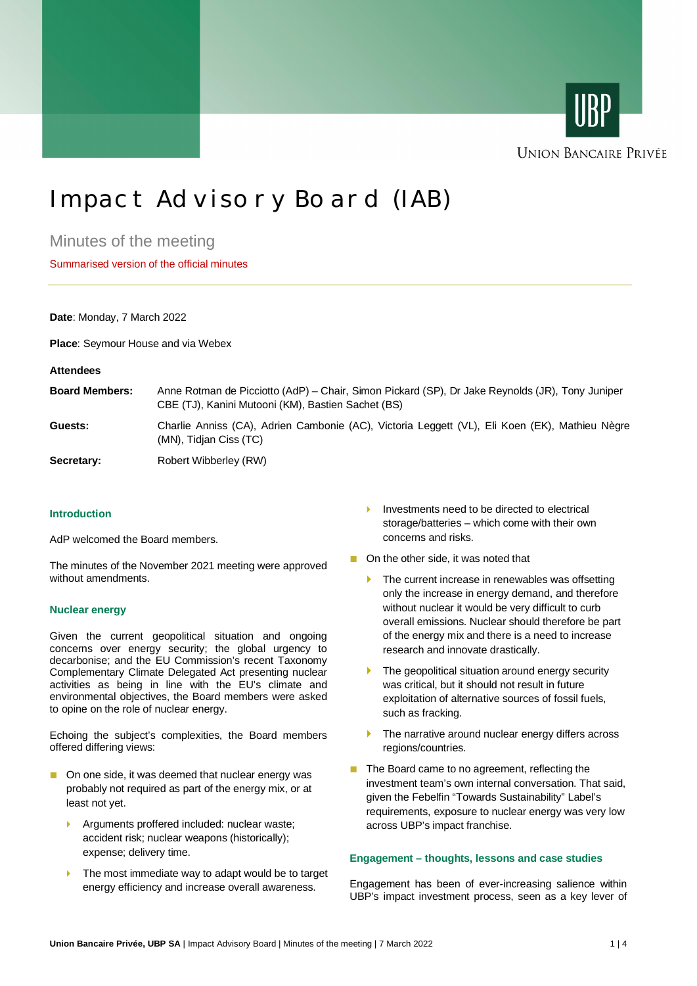



# Impact Advisory Board (IAB)

Minutes of the meeting

Summarised version of the official minutes

## **Date**: Monday, 7 March 2022

**Place**: Seymour House and via Webex

#### **Attendees**

| <b>Board Members:</b> | Anne Rotman de Picciotto (AdP) – Chair, Simon Pickard (SP), Dr Jake Reynolds (JR), Tony Juniper<br>CBE (TJ), Kanini Mutooni (KM), Bastien Sachet (BS) |
|-----------------------|-------------------------------------------------------------------------------------------------------------------------------------------------------|
| Guests:               | Charlie Anniss (CA), Adrien Cambonie (AC), Victoria Leggett (VL), Eli Koen (EK), Mathieu Nègre<br>(MN), Tidian Ciss (TC)                              |

## Secretary: Robert Wibberley (RW)

## **Introduction**

AdP welcomed the Board members.

The minutes of the November 2021 meeting were approved without amendments.

#### **Nuclear energy**

Given the current geopolitical situation and ongoing concerns over energy security; the global urgency to decarbonise; and the EU Commission's recent Taxonomy Complementary Climate Delegated Act presenting nuclear activities as being in line with the EU's climate and environmental objectives, the Board members were asked to opine on the role of nuclear energy.

Echoing the subject's complexities, the Board members offered differing views:

- On one side, it was deemed that nuclear energy was probably not required as part of the energy mix, or at least not yet.
	- } Arguments proffered included: nuclear waste; accident risk; nuclear weapons (historically); expense; delivery time.
	- $\blacktriangleright$  The most immediate way to adapt would be to target energy efficiency and increase overall awareness.
- Investments need to be directed to electrical storage/batteries – which come with their own concerns and risks.
- On the other side, it was noted that
	- $\blacktriangleright$  The current increase in renewables was offsetting only the increase in energy demand, and therefore without nuclear it would be very difficult to curb overall emissions. Nuclear should therefore be part of the energy mix and there is a need to increase research and innovate drastically.
	- The geopolitical situation around energy security was critical, but it should not result in future exploitation of alternative sources of fossil fuels, such as fracking.
	- $\blacktriangleright$  The narrative around nuclear energy differs across regions/countries.
- The Board came to no agreement, reflecting the investment team's own internal conversation. That said, given the Febelfin "Towards Sustainability" Label's requirements, exposure to nuclear energy was very low across UBP's impact franchise.

#### **Engagement – thoughts, lessons and case studies**

Engagement has been of ever-increasing salience within UBP's impact investment process, seen as a key lever of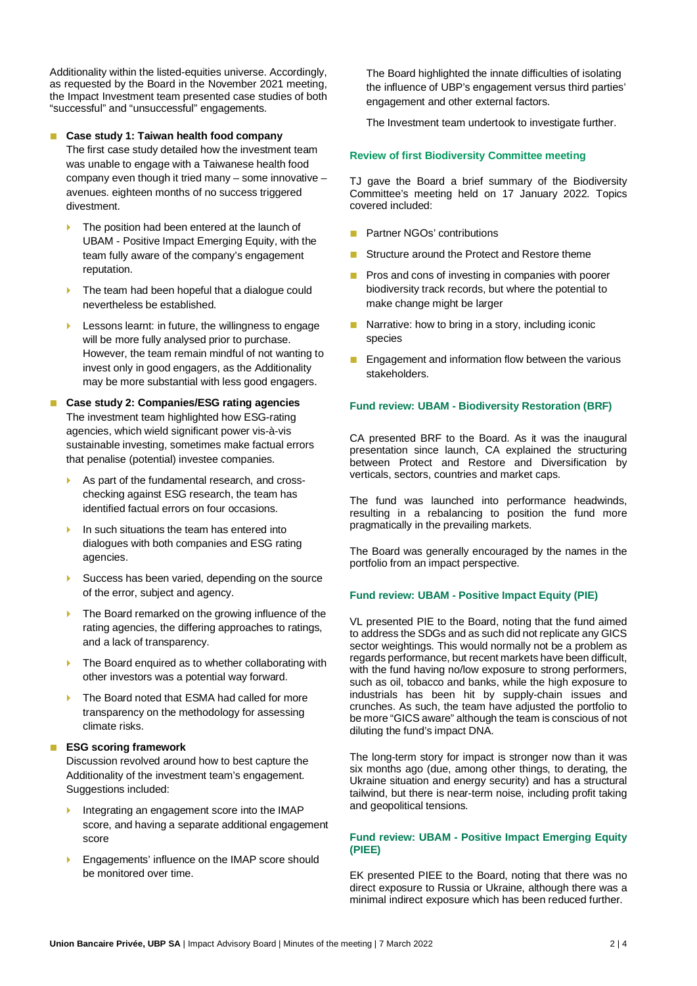Additionality within the listed-equities universe. Accordingly, as requested by the Board in the November 2021 meeting, the Impact Investment team presented case studies of both "successful" and "unsuccessful" engagements.

## ■ **Case study 1: Taiwan health food company**

The first case study detailed how the investment team was unable to engage with a Taiwanese health food company even though it tried many – some innovative – avenues. eighteen months of no success triggered divestment.

- The position had been entered at the launch of UBAM - Positive Impact Emerging Equity, with the team fully aware of the company's engagement reputation.
- The team had been hopeful that a dialogue could nevertheless be established.
- Lessons learnt: in future, the willingness to engage will be more fully analysed prior to purchase. However, the team remain mindful of not wanting to invest only in good engagers, as the Additionality may be more substantial with less good engagers.

## ■ **Case study 2: Companies/ESG rating agencies** The investment team highlighted how ESG-rating agencies, which wield significant power vis-à-vis sustainable investing, sometimes make factual errors that penalise (potential) investee companies.

- As part of the fundamental research, and crosschecking against ESG research, the team has identified factual errors on four occasions.
- In such situations the team has entered into dialogues with both companies and ESG rating agencies.
- Success has been varied, depending on the source of the error, subject and agency.
- The Board remarked on the growing influence of the rating agencies, the differing approaches to ratings, and a lack of transparency.
- $\blacktriangleright$  The Board enquired as to whether collaborating with other investors was a potential way forward.
- The Board noted that ESMA had called for more transparency on the methodology for assessing climate risks.

## ■ **ESG scoring framework**

Discussion revolved around how to best capture the Additionality of the investment team's engagement. Suggestions included:

- Integrating an engagement score into the IMAP score, and having a separate additional engagement score
- Engagements' influence on the IMAP score should be monitored over time.

The Board highlighted the innate difficulties of isolating the influence of UBP's engagement versus third parties' engagement and other external factors.

The Investment team undertook to investigate further.

## **Review of first Biodiversity Committee meeting**

TJ gave the Board a brief summary of the Biodiversity Committee's meeting held on 17 January 2022. Topics covered included:

- Partner NGOs' contributions
- Structure around the Protect and Restore theme
- Pros and cons of investing in companies with poorer biodiversity track records, but where the potential to make change might be larger
- Narrative: how to bring in a story, including iconic species
- Engagement and information flow between the various stakeholders.

#### **Fund review: UBAM - Biodiversity Restoration (BRF)**

CA presented BRF to the Board. As it was the inaugural presentation since launch, CA explained the structuring between Protect and Restore and Diversification by verticals, sectors, countries and market caps.

The fund was launched into performance headwinds, resulting in a rebalancing to position the fund more pragmatically in the prevailing markets.

The Board was generally encouraged by the names in the portfolio from an impact perspective.

## **Fund review: UBAM - Positive Impact Equity (PIE)**

VL presented PIE to the Board, noting that the fund aimed to address the SDGs and as such did not replicate any GICS sector weightings. This would normally not be a problem as regards performance, but recent markets have been difficult, with the fund having no/low exposure to strong performers, such as oil, tobacco and banks, while the high exposure to industrials has been hit by supply-chain issues and crunches. As such, the team have adjusted the portfolio to be more "GICS aware" although the team is conscious of not diluting the fund's impact DNA.

The long-term story for impact is stronger now than it was six months ago (due, among other things, to derating, the Ukraine situation and energy security) and has a structural tailwind, but there is near-term noise, including profit taking and geopolitical tensions.

## **Fund review: UBAM - Positive Impact Emerging Equity (PIEE)**

EK presented PIEE to the Board, noting that there was no direct exposure to Russia or Ukraine, although there was a minimal indirect exposure which has been reduced further.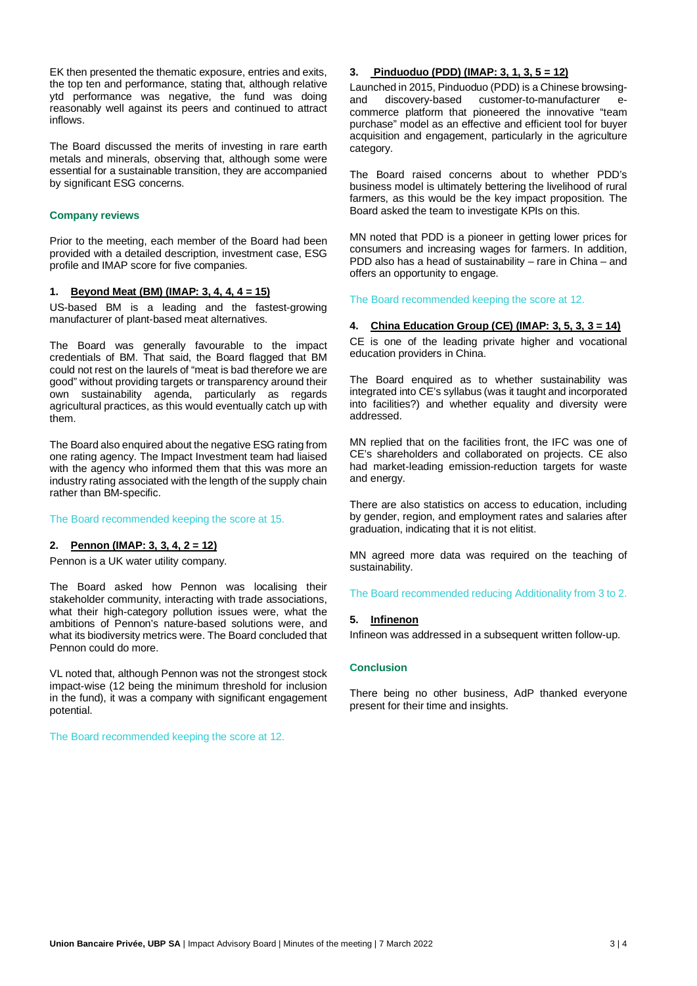EK then presented the thematic exposure, entries and exits, the top ten and performance, stating that, although relative ytd performance was negative, the fund was doing reasonably well against its peers and continued to attract inflows.

The Board discussed the merits of investing in rare earth metals and minerals, observing that, although some were essential for a sustainable transition, they are accompanied by significant ESG concerns.

## **Company reviews**

Prior to the meeting, each member of the Board had been provided with a detailed description, investment case, ESG profile and IMAP score for five companies.

## **1. Beyond Meat (BM) (IMAP: 3, 4, 4, 4 = 15)**

US-based BM is a leading and the fastest-growing manufacturer of plant-based meat alternatives.

The Board was generally favourable to the impact credentials of BM. That said, the Board flagged that BM could not rest on the laurels of "meat is bad therefore we are good" without providing targets or transparency around their own sustainability agenda, particularly as regards agricultural practices, as this would eventually catch up with them.

The Board also enquired about the negative ESG rating from one rating agency. The Impact Investment team had liaised with the agency who informed them that this was more an industry rating associated with the length of the supply chain rather than BM-specific.

#### The Board recommended keeping the score at 15.

## **2. Pennon (IMAP: 3, 3, 4, 2 = 12)**

Pennon is a UK water utility company.

The Board asked how Pennon was localising their stakeholder community, interacting with trade associations, what their high-category pollution issues were, what the ambitions of Pennon's nature-based solutions were, and what its biodiversity metrics were. The Board concluded that Pennon could do more.

VL noted that, although Pennon was not the strongest stock impact-wise (12 being the minimum threshold for inclusion in the fund), it was a company with significant engagement potential.

The Board recommended keeping the score at 12.

## **3. Pinduoduo (PDD) (IMAP: 3, 1, 3, 5 = 12)**

Launched in 2015, Pinduoduo (PDD) is a Chinese browsingand discovery-based customer-to-manufacturer ecommerce platform that pioneered the innovative "team purchase" model as an effective and efficient tool for buyer acquisition and engagement, particularly in the agriculture category.

The Board raised concerns about to whether PDD's business model is ultimately bettering the livelihood of rural farmers, as this would be the key impact proposition. The Board asked the team to investigate KPIs on this.

MN noted that PDD is a pioneer in getting lower prices for consumers and increasing wages for farmers. In addition, PDD also has a head of sustainability – rare in China – and offers an opportunity to engage.

The Board recommended keeping the score at 12.

## **4. China Education Group (CE) (IMAP: 3, 5, 3, 3 = 14)**

CE is one of the leading private higher and vocational education providers in China.

The Board enquired as to whether sustainability was integrated into CE's syllabus (was it taught and incorporated into facilities?) and whether equality and diversity were addressed.

MN replied that on the facilities front, the IFC was one of CE's shareholders and collaborated on projects. CE also had market-leading emission-reduction targets for waste and energy.

There are also statistics on access to education, including by gender, region, and employment rates and salaries after graduation, indicating that it is not elitist.

MN agreed more data was required on the teaching of sustainability.

The Board recommended reducing Additionality from 3 to 2.

## **5. Infinenon**

Infineon was addressed in a subsequent written follow-up.

#### **Conclusion**

There being no other business, AdP thanked everyone present for their time and insights.